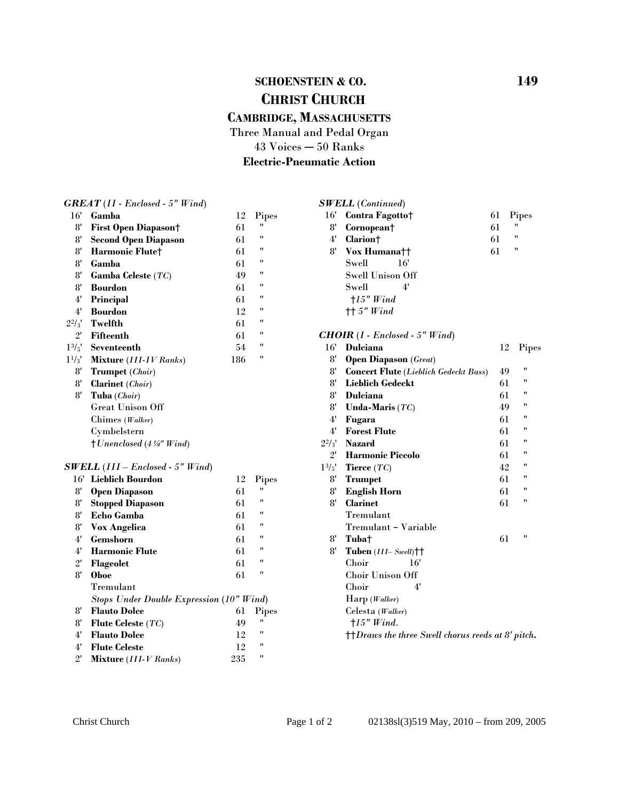# **SCHOENSTEIN & CO.** 149  **CHRIST CHURCH**

### **CAMBRIDGE, MASSACHUSETTS**

Three Manual and Pedal Organ

 $43$  Voices  $-50$  Ranks

**Electric-Pneumatic Action**

*GREAT* (*II - Enclosed - 5" Wind*) 16' **Gamba** 12 Pipes 8' **First Open Diapason** † 61 " 8' **Second Open Diapason** 61 " 8' **Harmonic Flute<sup>†</sup>** 61 "<br><sup>8'</sup> Camba 61 " 8' **Gamba** 61 " 8' **Gamba Celeste** (*TC*) 49 " 8' **Bourdon** 61 " 4' **Principal** 61 " 4' **Bourdon** 12 "  $2^2/\frac{1}{3}$  Twelfth 61 "<br>
<sup>21</sup> Eifteenth 61 " 2' **Fifteenth** 61 " 11/3' **Mixture** (*III-IV Ranks*)186 " 8' **Open Diapason** (*Great*) 8' **Trumpet** (*Choir*) 8' **Clarinet** (*Choir*) 8' **Tuba** (*Choir*) Great Unison Off Chimes (*Walker*) Cymbelstern H*Unenclosed* (*4*3*" Wind*)

#### *SWELL* (*III – Enclosed - 5" Wind*)

| 16'          | Lieblich Bourdon                                | 12  | Pipes |  |  |
|--------------|-------------------------------------------------|-----|-------|--|--|
| 8'           | <b>Open Diapason</b>                            | 61  | "     |  |  |
| 8'           | <b>Stopped Diapason</b>                         | 61  | 11    |  |  |
| 8'           | Echo Gamba                                      | 61  | "     |  |  |
| 8'           | <b>Vox Angelica</b>                             | 61  | 11    |  |  |
| 4'           | Gemshorn                                        | 61  | 11    |  |  |
| 4'           | <b>Harmonic Flute</b>                           | 61  | 11    |  |  |
| $2^{\prime}$ | Flageolet                                       | 61  | "     |  |  |
| 8'           | <b>Oboe</b>                                     | 61  | 11    |  |  |
|              | Tremulant                                       |     |       |  |  |
|              | <b>Stops Under Double Expression (10" Wind)</b> |     |       |  |  |
| 8'           | <b>Flauto Dolce</b>                             | 61  | Pipes |  |  |
| 8'           | Flute Celeste $(TC)$                            | 49  | 11    |  |  |
| 4'           | <b>Flauto Dolce</b>                             | 12  | 11    |  |  |
| 4'           | <b>Flute Celeste</b>                            | 12  | 11    |  |  |
| $2^{\prime}$ | Mixture (III-V Ranks)                           | 235 | 11    |  |  |

#### 13/5' **Seventeenth** 54 " 16' **Dulciana** 12 Pipes 16' **Lieblich Bourdon** 12 Pipes 8' **Trumpet** 61 " *SWELL* (*Continued*) 16' **Contra Fagotto**<sup>+</sup> 61 Pipes 8' **Cornopean** f 61 " 4' **Clarion†** 61 "<br>
8' **Vox Humana**<sup>††</sup> 61 " 8' **Vox Humana**<sup> $+$ </sup> 61 Swell 16' Swell Unison Off Swell 4' H*15" Wind* HH *5" Wind CHOIR* (*I - Enclosed - 5" Wind*) 8' **Concert Flute** (*Lieblich Gedeckt Bass*) 49 " **Lieblich Gedeckt** 61 "<br> **D**raking 61 " 8' **Dulciana** 61 " 8' **Unda-Maris** (*TC*) 49 " 4' **Fugara** 61 " 4' **Forest Flute** 61 "  $2^2/3'$  **Nazard** 61 "<br>
<sup>21</sup> **H**ermanic Piecele 61 " 2' **Harmonic Piccolo** 61 "  $1^{3/5'}$  **Tierce**  $(TC)$  42 " 8' **English Horn** 61 " 8' **Clarinet** 61 " Tremulant Tremulant - Variable 8' **Tuba** + 61 " 8' Tuben (III–Swell)<sup>††</sup> Choir 16' Choir Unison Off Choir 4' Harp (*Walker*) Celesta (*Walker*)

 $\dagger$ <sup>†</sup> $D$ *raws the three Swell chorus reeds at 8' pitch.* 

H*15" Wind.*